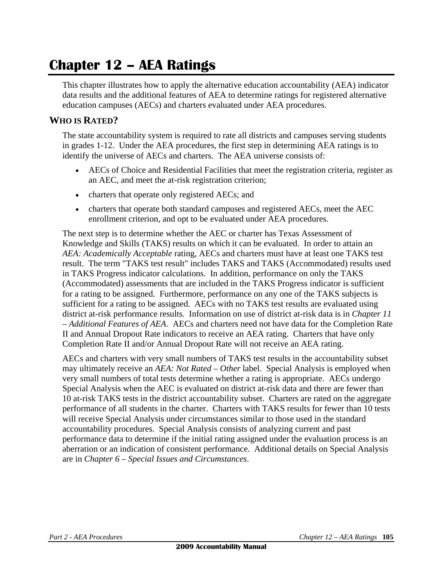# **Chapter 12 – AEA Ratings**

This chapter illustrates how to apply the alternative education accountability (AEA) indicator data results and the additional features of AEA to determine ratings for registered alternative education campuses (AECs) and charters evaluated under AEA procedures.

### **WHO IS RATED?**

The state accountability system is required to rate all districts and campuses serving students in grades 1-12. Under the AEA procedures, the first step in determining AEA ratings is to identify the universe of AECs and charters. The AEA universe consists of:

- AECs of Choice and Residential Facilities that meet the registration criteria, register as an AEC, and meet the at-risk registration criterion;
- charters that operate only registered AECs; and
- charters that operate both standard campuses and registered AECs, meet the AEC enrollment criterion, and opt to be evaluated under AEA procedures.

The next step is to determine whether the AEC or charter has Texas Assessment of Knowledge and Skills (TAKS) results on which it can be evaluated. In order to attain an *AEA: Academically Acceptable* rating, AECs and charters must have at least one TAKS test result. The term "TAKS test result" includes TAKS and TAKS (Accommodated) results used in TAKS Progress indicator calculations. In addition, performance on only the TAKS (Accommodated) assessments that are included in the TAKS Progress indicator is sufficient for a rating to be assigned. Furthermore, performance on any one of the TAKS subjects is sufficient for a rating to be assigned. AECs with no TAKS test results are evaluated using district at-risk performance results. Information on use of district at-risk data is in *Chapter 11 – Additional Features of AEA*. AECs and charters need not have data for the Completion Rate II and Annual Dropout Rate indicators to receive an AEA rating. Charters that have only Completion Rate II and/or Annual Dropout Rate will not receive an AEA rating.

AECs and charters with very small numbers of TAKS test results in the accountability subset may ultimately receive an *AEA: Not Rated – Other* label. Special Analysis is employed when very small numbers of total tests determine whether a rating is appropriate. AECs undergo Special Analysis when the AEC is evaluated on district at-risk data and there are fewer than 10 at-risk TAKS tests in the district accountability subset. Charters are rated on the aggregate performance of all students in the charter. Charters with TAKS results for fewer than 10 tests will receive Special Analysis under circumstances similar to those used in the standard accountability procedures. Special Analysis consists of analyzing current and past performance data to determine if the initial rating assigned under the evaluation process is an aberration or an indication of consistent performance. Additional details on Special Analysis are in *Chapter 6 – Special Issues and Circumstances*.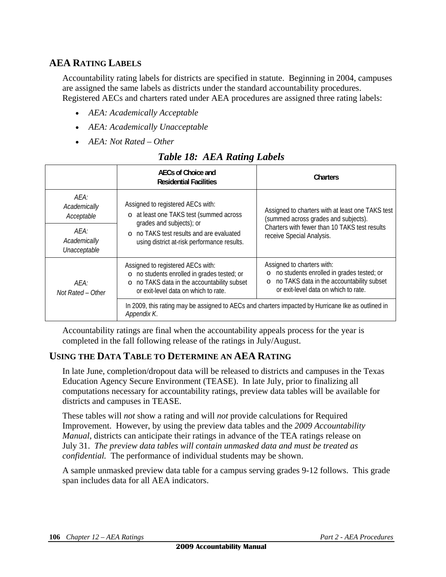### **AEA RATING LABELS**

Accountability rating labels for districts are specified in statute. Beginning in 2004, campuses are assigned the same labels as districts under the standard accountability procedures. Registered AECs and charters rated under AEA procedures are assigned three rating labels:

- *AEA: Academically Acceptable*
- *AEA: Academically Unacceptable*
- *AEA: Not Rated Other*

|                                      | AECs of Choice and<br><b>Residential Facilities</b>                                                                                                                     | Charters                                                                                                                                                         |  |  |
|--------------------------------------|-------------------------------------------------------------------------------------------------------------------------------------------------------------------------|------------------------------------------------------------------------------------------------------------------------------------------------------------------|--|--|
| AEA:<br>Academically<br>Acceptable   | Assigned to registered AECs with:<br>o at least one TAKS test (summed across<br>grades and subjects); or                                                                | Assigned to charters with at least one TAKS test<br>(summed across grades and subjects).                                                                         |  |  |
| AFA:<br>Academically<br>Unacceptable | o no TAKS test results and are evaluated<br>using district at-risk performance results.                                                                                 | Charters with fewer than 10 TAKS test results<br>receive Special Analysis.                                                                                       |  |  |
| AFA:<br>Not Rated – Other            | Assigned to registered AECs with:<br>o no students enrolled in grades tested; or<br>o no TAKS data in the accountability subset<br>or exit-level data on which to rate. | Assigned to charters with:<br>o no students enrolled in grades tested; or<br>o no TAKS data in the accountability subset<br>or exit-level data on which to rate. |  |  |
|                                      | Appendix K.                                                                                                                                                             | In 2009, this rating may be assigned to AECs and charters impacted by Hurricane Ike as outlined in                                                               |  |  |

### *Table 18: AEA Rating Labels*

Accountability ratings are final when the accountability appeals process for the year is completed in the fall following release of the ratings in July/August.

### **USING THE DATA TABLE TO DETERMINE AN AEA RATING**

In late June, completion/dropout data will be released to districts and campuses in the Texas Education Agency Secure Environment (TEASE). In late July, prior to finalizing all computations necessary for accountability ratings, preview data tables will be available for districts and campuses in TEASE.

These tables will *not* show a rating and will *not* provide calculations for Required Improvement. However, by using the preview data tables and the *2009 Accountability Manual*, districts can anticipate their ratings in advance of the TEA ratings release on July 31. *The preview data tables will contain unmasked data and must be treated as confidential.* The performance of individual students may be shown.

A sample unmasked preview data table for a campus serving grades 9-12 follows. This grade span includes data for all AEA indicators.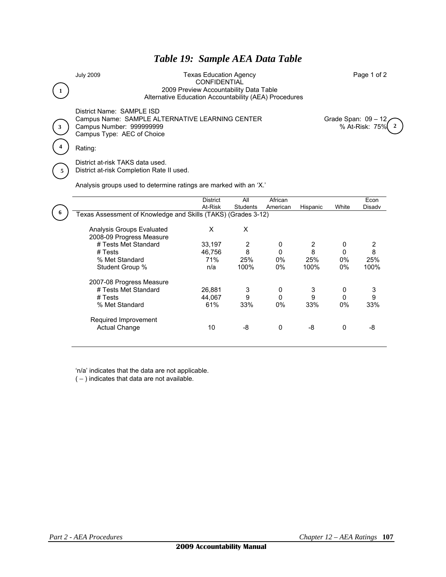### *Table 19: Sample AEA Data Table*

**6** 

July 2009 Texas Education Agency Page 1 of 2 **CONFIDENTIAL** 1 **1 2009 Preview Accountability Data Table** Alternative Education Accountability (AEA) Procedures

District Name: SAMPLE ISD Campus Name: SAMPLE ALTERNATIVE LEARNING CENTER Grade Span: 09 - 12 Campus Number: 999999999 % At-Risk: 75% **2 3**  Campus Type: AEC of Choice **4** Rating:

District at-risk TAKS data used. **5** District at-risk Completion Rate II used.

Analysis groups used to determine ratings are marked with an 'X.'

|                                                               | <b>District</b> | All            | African  |            |          | Econ   |
|---------------------------------------------------------------|-----------------|----------------|----------|------------|----------|--------|
|                                                               | At-Risk         | Students       | American | Hispanic   | White    | Disady |
| Texas Assessment of Knowledge and Skills (TAKS) (Grades 3-12) |                 |                |          |            |          |        |
|                                                               |                 |                |          |            |          |        |
| Analysis Groups Evaluated                                     | X               | X              |          |            |          |        |
| 2008-09 Progress Measure                                      |                 |                |          |            |          |        |
| # Tests Met Standard                                          | 33,197          | $\overline{2}$ | 0        | 2          | 0        | 2      |
| # Tests                                                       | 46.756          | 8              | 0        | 8          | $\Omega$ | 8      |
| % Met Standard                                                | 71%             | 25%            | $0\%$    | <b>25%</b> | $0\%$    | 25%    |
| Student Group %                                               | n/a             | 100%           | $0\%$    | 100%       | $0\%$    | 100%   |
|                                                               |                 |                |          |            |          |        |
| 2007-08 Progress Measure                                      |                 |                |          |            |          |        |
| # Tests Met Standard                                          | 26,881          | 3              | 0        | 3          | 0        | 3      |
| # Tests                                                       | 44.067          | 9              | 0        | 9          | $\Omega$ | 9      |
| % Met Standard                                                | 61%             | 33%            | $0\%$    | 33%        | $0\%$    | 33%    |
|                                                               |                 |                |          |            |          |        |
| Required Improvement                                          |                 |                |          |            |          |        |
| <b>Actual Change</b>                                          | 10              | -8             | $\Omega$ | -8         | 0        | -8     |
|                                                               |                 |                |          |            |          |        |
|                                                               |                 |                |          |            |          |        |

'n/a' indicates that the data are not applicable.

( *–* ) indicates that data are not available.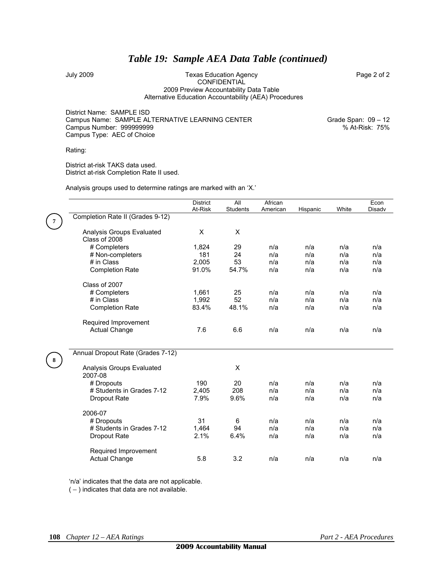### *Table 19: Sample AEA Data Table (continued)*

#### July 2009 Texas Education Agency Page 2 of 2 CONFIDENTIAL 2009 Preview Accountability Data Table Alternative Education Accountability (AEA) Procedures

District Name: SAMPLE ISD Campus Name: SAMPLE ALTERNATIVE LEARNING CENTER Grame: Grade Span: 09 - 12 Campus Number: 999999999 % At-Risk: 75% Campus Type: AEC of Choice

Rating:

District at-risk TAKS data used. District at-risk Completion Rate II used.

|  |  | Analysis groups used to determine ratings are marked with an 'X.' |  |  |  |
|--|--|-------------------------------------------------------------------|--|--|--|
|  |  |                                                                   |  |  |  |

|                                            | <b>District</b> | All             | African  |          |       | Econ   |
|--------------------------------------------|-----------------|-----------------|----------|----------|-------|--------|
|                                            | At-Risk         | <b>Students</b> | American | Hispanic | White | Disadv |
| Completion Rate II (Grades 9-12)           |                 |                 |          |          |       |        |
| Analysis Groups Evaluated<br>Class of 2008 | X               | X               |          |          |       |        |
| # Completers                               | 1,824           | 29              | n/a      | n/a      | n/a   | n/a    |
| # Non-completers                           | 181             | 24              | n/a      | n/a      | n/a   | n/a    |
| # in Class                                 | 2,005           | 53              | n/a      | n/a      | n/a   | n/a    |
| <b>Completion Rate</b>                     | 91.0%           | 54.7%           | n/a      | n/a      | n/a   | n/a    |
| Class of 2007                              |                 |                 |          |          |       |        |
| # Completers                               | 1,661           | 25              | n/a      | n/a      | n/a   | n/a    |
| # in Class                                 | 1,992           | 52              | n/a      | n/a      | n/a   | n/a    |
| <b>Completion Rate</b>                     | 83.4%           | 48.1%           | n/a      | n/a      | n/a   | n/a    |
| Required Improvement                       |                 |                 |          |          |       |        |
| <b>Actual Change</b>                       | 7.6             | 6.6             | n/a      | n/a      | n/a   | n/a    |
| Annual Dropout Rate (Grades 7-12)          |                 |                 |          |          |       |        |
| Analysis Groups Evaluated<br>2007-08       |                 | X               |          |          |       |        |
| # Dropouts                                 | 190             | 20              | n/a      | n/a      | n/a   | n/a    |
| # Students in Grades 7-12                  | 2,405           | 208             | n/a      | n/a      | n/a   | n/a    |
| Dropout Rate                               | 7.9%            | 9.6%            | n/a      | n/a      | n/a   | n/a    |
| 2006-07                                    |                 |                 |          |          |       |        |
| # Dropouts                                 | 31              | 6               | n/a      | n/a      | n/a   | n/a    |
| # Students in Grades 7-12                  | 1,464           | 94              | n/a      | n/a      | n/a   | n/a    |
| Dropout Rate                               | 2.1%            | 6.4%            | n/a      | n/a      | n/a   | n/a    |
| Required Improvement                       |                 |                 |          |          |       |        |
| <b>Actual Change</b>                       | 5.8             | 3.2             | n/a      | n/a      | n/a   | n/a    |

'n/a' indicates that the data are not applicable.

( *–* ) indicates that data are not available.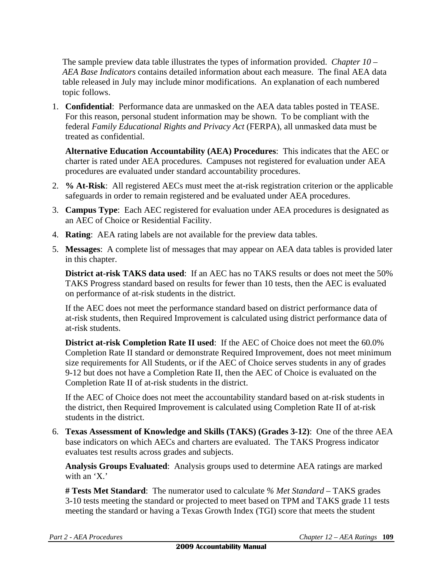The sample preview data table illustrates the types of information provided. *Chapter 10 – AEA Base Indicators* contains detailed information about each measure. The final AEA data table released in July may include minor modifications. An explanation of each numbered topic follows.

1. **Confidential**: Performance data are unmasked on the AEA data tables posted in TEASE. For this reason, personal student information may be shown. To be compliant with the federal *Family Educational Rights and Privacy Act* (FERPA), all unmasked data must be treated as confidential.

**Alternative Education Accountability (AEA) Procedures**: This indicates that the AEC or charter is rated under AEA procedures. Campuses not registered for evaluation under AEA procedures are evaluated under standard accountability procedures.

- 2. **% At-Risk**: All registered AECs must meet the at-risk registration criterion or the applicable safeguards in order to remain registered and be evaluated under AEA procedures.
- 3. **Campus Type**: Each AEC registered for evaluation under AEA procedures is designated as an AEC of Choice or Residential Facility.
- 4. **Rating**: AEA rating labels are not available for the preview data tables.
- 5. **Messages**: A complete list of messages that may appear on AEA data tables is provided later in this chapter.

**District at-risk TAKS data used**: If an AEC has no TAKS results or does not meet the 50% TAKS Progress standard based on results for fewer than 10 tests, then the AEC is evaluated on performance of at-risk students in the district.

If the AEC does not meet the performance standard based on district performance data of at-risk students, then Required Improvement is calculated using district performance data of at-risk students.

**District at-risk Completion Rate II used**: If the AEC of Choice does not meet the 60.0% Completion Rate II standard or demonstrate Required Improvement, does not meet minimum size requirements for All Students, or if the AEC of Choice serves students in any of grades 9-12 but does not have a Completion Rate II, then the AEC of Choice is evaluated on the Completion Rate II of at-risk students in the district.

If the AEC of Choice does not meet the accountability standard based on at-risk students in the district, then Required Improvement is calculated using Completion Rate II of at-risk students in the district.

6. **Texas Assessment of Knowledge and Skills (TAKS) (Grades 3-12)**: One of the three AEA base indicators on which AECs and charters are evaluated. The TAKS Progress indicator evaluates test results across grades and subjects.

**Analysis Groups Evaluated**: Analysis groups used to determine AEA ratings are marked with an 'X.'

**# Tests Met Standard**: The numerator used to calculate *% Met Standard –* TAKS grades 3-10 tests meeting the standard or projected to meet based on TPM and TAKS grade 11 tests meeting the standard or having a Texas Growth Index (TGI) score that meets the student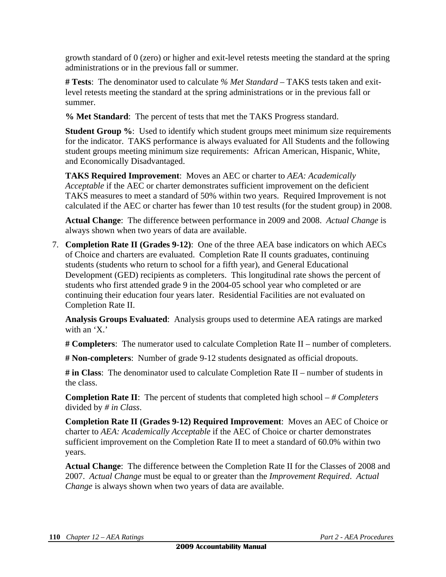growth standard of 0 (zero) or higher and exit-level retests meeting the standard at the spring administrations or in the previous fall or summer.

**# Tests**: The denominator used to calculate *% Met Standard –* TAKS tests taken and exitlevel retests meeting the standard at the spring administrations or in the previous fall or summer.

**% Met Standard**: The percent of tests that met the TAKS Progress standard.

**Student Group %:** Used to identify which student groups meet minimum size requirements for the indicator. TAKS performance is always evaluated for All Students and the following student groups meeting minimum size requirements: African American, Hispanic, White, and Economically Disadvantaged.

**TAKS Required Improvement**: Moves an AEC or charter to *AEA: Academically Acceptable* if the AEC or charter demonstrates sufficient improvement on the deficient TAKS measures to meet a standard of 50% within two years. Required Improvement is not calculated if the AEC or charter has fewer than 10 test results (for the student group) in 2008.

**Actual Change**: The difference between performance in 2009 and 2008. *Actual Change* is always shown when two years of data are available.

7. **Completion Rate II (Grades 9-12)**: One of the three AEA base indicators on which AECs of Choice and charters are evaluated. Completion Rate II counts graduates, continuing students (students who return to school for a fifth year), and General Educational Development (GED) recipients as completers. This longitudinal rate shows the percent of students who first attended grade 9 in the 2004-05 school year who completed or are continuing their education four years later. Residential Facilities are not evaluated on Completion Rate II.

**Analysis Groups Evaluated**: Analysis groups used to determine AEA ratings are marked with an 'X.'

**# Completers**: The numerator used to calculate Completion Rate II – number of completers.

**# Non-completers**: Number of grade 9-12 students designated as official dropouts.

**# in Class**: The denominator used to calculate Completion Rate II – number of students in the class.

**Completion Rate II**: The percent of students that completed high school – *# Completers* divided by *# in Class*.

**Completion Rate II (Grades 9-12) Required Improvement**: Moves an AEC of Choice or charter to *AEA: Academically Acceptable* if the AEC of Choice or charter demonstrates sufficient improvement on the Completion Rate II to meet a standard of 60.0% within two years.

**Actual Change**: The difference between the Completion Rate II for the Classes of 2008 and 2007. *Actual Change* must be equal to or greater than the *Improvement Required*. *Actual Change* is always shown when two years of data are available.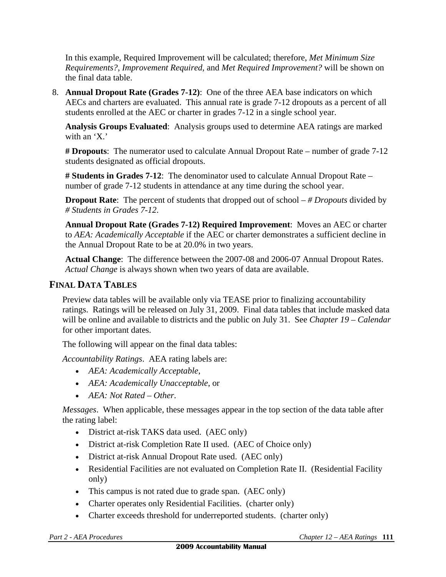In this example, Required Improvement will be calculated; therefore, *Met Minimum Size Requirements?*, *Improvement Required*, and *Met Required Improvement?* will be shown on the final data table.

8. **Annual Dropout Rate (Grades 7-12)**: One of the three AEA base indicators on which AECs and charters are evaluated. This annual rate is grade 7-12 dropouts as a percent of all students enrolled at the AEC or charter in grades 7-12 in a single school year.

**Analysis Groups Evaluated**: Analysis groups used to determine AEA ratings are marked with an 'X.'

**# Dropouts**: The numerator used to calculate Annual Dropout Rate – number of grade 7-12 students designated as official dropouts.

**# Students in Grades 7-12**: The denominator used to calculate Annual Dropout Rate – number of grade 7-12 students in attendance at any time during the school year.

**Dropout Rate**: The percent of students that dropped out of school – *# Dropouts* divided by *# Students in Grades 7-12*.

**Annual Dropout Rate (Grades 7-12) Required Improvement**: Moves an AEC or charter to *AEA: Academically Acceptable* if the AEC or charter demonstrates a sufficient decline in the Annual Dropout Rate to be at 20.0% in two years.

**Actual Change**: The difference between the 2007-08 and 2006-07 Annual Dropout Rates. *Actual Change* is always shown when two years of data are available.

### **FINAL DATA TABLES**

Preview data tables will be available only via TEASE prior to finalizing accountability ratings. Ratings will be released on July 31, 2009. Final data tables that include masked data will be online and available to districts and the public on July 31. See *Chapter 19 – Calendar* for other important dates.

The following will appear on the final data tables:

*Accountability Ratings*. AEA rating labels are:

- *AEA: Academically Acceptable*,
- *AEA: Academically Unacceptable*, or
- *AEA: Not Rated Other*.

*Messages*. When applicable, these messages appear in the top section of the data table after the rating label:

- District at-risk TAKS data used. (AEC only)
- District at-risk Completion Rate II used. (AEC of Choice only)
- District at-risk Annual Dropout Rate used. (AEC only)
- Residential Facilities are not evaluated on Completion Rate II. (Residential Facility only)
- This campus is not rated due to grade span. (AEC only)
- Charter operates only Residential Facilities. (charter only)
- Charter exceeds threshold for underreported students. (charter only)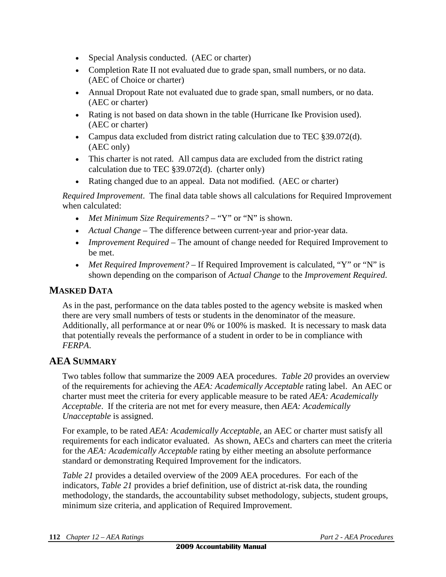- Special Analysis conducted. (AEC or charter)
- Completion Rate II not evaluated due to grade span, small numbers, or no data. (AEC of Choice or charter)
- Annual Dropout Rate not evaluated due to grade span, small numbers, or no data. (AEC or charter)
- Rating is not based on data shown in the table (Hurricane Ike Provision used). (AEC or charter)
- Campus data excluded from district rating calculation due to TEC  $\S 39.072(d)$ . (AEC only)
- This charter is not rated. All campus data are excluded from the district rating calculation due to TEC §39.072(d). (charter only)
- Rating changed due to an appeal. Data not modified. (AEC or charter)

*Required Improvement*. The final data table shows all calculations for Required Improvement when calculated:

- *Met Minimum Size Requirements?* "Y" or "N" is shown.
- *Actual Change* The difference between current-year and prior-year data.
- *Improvement Required* The amount of change needed for Required Improvement to be met.
- *Met Required Improvement?* If Required Improvement is calculated, "Y" or "N" is shown depending on the comparison of *Actual Change* to the *Improvement Required*.

### **MASKED DATA**

As in the past, performance on the data tables posted to the agency website is masked when there are very small numbers of tests or students in the denominator of the measure. Additionally, all performance at or near 0% or 100% is masked. It is necessary to mask data that potentially reveals the performance of a student in order to be in compliance with *FERPA*.

### **AEA SUMMARY**

Two tables follow that summarize the 2009 AEA procedures. *Table 20* provides an overview of the requirements for achieving the *AEA: Academically Acceptable* rating label. An AEC or charter must meet the criteria for every applicable measure to be rated *AEA: Academically Acceptable*. If the criteria are not met for every measure, then *AEA: Academically Unacceptable* is assigned.

For example, to be rated *AEA: Academically Acceptable,* an AEC or charter must satisfy all requirements for each indicator evaluated. As shown, AECs and charters can meet the criteria for the *AEA: Academically Acceptable* rating by either meeting an absolute performance standard or demonstrating Required Improvement for the indicators.

*Table 21* provides a detailed overview of the 2009 AEA procedures. For each of the indicators, *Table 21* provides a brief definition, use of district at-risk data, the rounding methodology, the standards, the accountability subset methodology, subjects, student groups, minimum size criteria, and application of Required Improvement.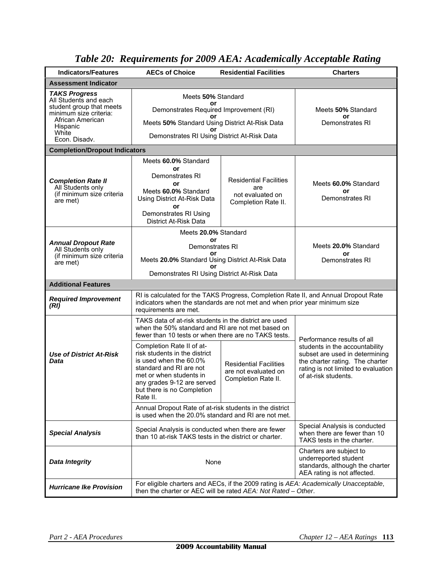| <b>Indicators/Features</b>                                                                          | <b>AECs of Choice</b>                                                                                                                                                                                              | <b>Residential Facilities</b>                                                                                      | <b>Charters</b>                                                                                                                                                    |  |  |
|-----------------------------------------------------------------------------------------------------|--------------------------------------------------------------------------------------------------------------------------------------------------------------------------------------------------------------------|--------------------------------------------------------------------------------------------------------------------|--------------------------------------------------------------------------------------------------------------------------------------------------------------------|--|--|
| <b>Assessment Indicator</b>                                                                         |                                                                                                                                                                                                                    |                                                                                                                    |                                                                                                                                                                    |  |  |
| <b>TAKS Progress</b><br>All Students and each<br>student group that meets<br>minimum size criteria: | Meets 50% Standard<br>or<br>Demonstrates Required Improvement (RI)                                                                                                                                                 | Meets 50% Standard                                                                                                 |                                                                                                                                                                    |  |  |
| African American<br>Hispanic<br>White                                                               | ωr<br>Meets 50% Standard Using District At-Risk Data<br>or                                                                                                                                                         | or<br>Demonstrates RI                                                                                              |                                                                                                                                                                    |  |  |
| Econ. Disadv.                                                                                       | Demonstrates RI Using District At-Risk Data                                                                                                                                                                        |                                                                                                                    |                                                                                                                                                                    |  |  |
| <b>Completion/Dropout Indicators</b>                                                                |                                                                                                                                                                                                                    |                                                                                                                    |                                                                                                                                                                    |  |  |
| <b>Completion Rate II</b><br>All Students only<br>(if minimum size criteria<br>are met)             | Meets 60.0% Standard<br>or<br>Demonstrates RI<br>or<br>Meets 60.0% Standard<br>Using District At-Risk Data<br>or<br>Demonstrates RI Using<br>District At-Risk Data                                                 | <b>Residential Facilities</b><br>are<br>not evaluated on<br>Completion Rate II.                                    | Meets 60.0% Standard<br>or<br>Demonstrates RI                                                                                                                      |  |  |
|                                                                                                     | Meets 20.0% Standard                                                                                                                                                                                               |                                                                                                                    |                                                                                                                                                                    |  |  |
| <b>Annual Dropout Rate</b><br>All Students only                                                     | or<br>Demonstrates RI                                                                                                                                                                                              | Meets 20.0% Standard                                                                                               |                                                                                                                                                                    |  |  |
| (if minimum size criteria<br>are met)                                                               | o٢<br>Meets 20.0% Standard Using District At-Risk Data<br>or                                                                                                                                                       | or<br>Demonstrates RI                                                                                              |                                                                                                                                                                    |  |  |
|                                                                                                     | Demonstrates RI Using District At-Risk Data                                                                                                                                                                        |                                                                                                                    |                                                                                                                                                                    |  |  |
| <b>Additional Features</b>                                                                          |                                                                                                                                                                                                                    |                                                                                                                    |                                                                                                                                                                    |  |  |
| <b>Required Improvement</b><br>(RI)                                                                 | RI is calculated for the TAKS Progress, Completion Rate II, and Annual Dropout Rate<br>indicators when the standards are not met and when prior year minimum size<br>requirements are met.                         |                                                                                                                    |                                                                                                                                                                    |  |  |
|                                                                                                     | TAKS data of at-risk students in the district are used<br>when the 50% standard and RI are not met based on<br>fewer than 10 tests or when there are no TAKS tests.                                                | Performance results of all                                                                                         |                                                                                                                                                                    |  |  |
| <b>Use of District At-Risk</b><br>Data                                                              | Completion Rate II of at-<br>risk students in the district<br>is used when the 60.0%<br>standard and RI are not<br>met or when students in<br>any grades 9-12 are served<br>but there is no Completion<br>Rate II. | <b>Residential Facilities</b><br>are not evaluated on<br>Completion Rate II.                                       | students in the accountability<br>subset are used in determining<br>the charter rating. The charter<br>rating is not limited to evaluation<br>of at-risk students. |  |  |
|                                                                                                     | Annual Dropout Rate of at-risk students in the district<br>is used when the 20.0% standard and RI are not met.                                                                                                     |                                                                                                                    |                                                                                                                                                                    |  |  |
| <b>Special Analysis</b>                                                                             | Special Analysis is conducted when there are fewer<br>than 10 at-risk TAKS tests in the district or charter.                                                                                                       | Special Analysis is conducted<br>when there are fewer than 10<br>TAKS tests in the charter.                        |                                                                                                                                                                    |  |  |
| <b>Data Integrity</b>                                                                               | None                                                                                                                                                                                                               | Charters are subject to<br>underreported student<br>standards, although the charter<br>AEA rating is not affected. |                                                                                                                                                                    |  |  |
| <b>Hurricane Ike Provision</b>                                                                      | For eligible charters and AECs, if the 2009 rating is AEA: Academically Unacceptable,<br>then the charter or AEC will be rated AEA: Not Rated - Other.                                                             |                                                                                                                    |                                                                                                                                                                    |  |  |

## *Table 20: Requirements for 2009 AEA: Academically Acceptable Rating*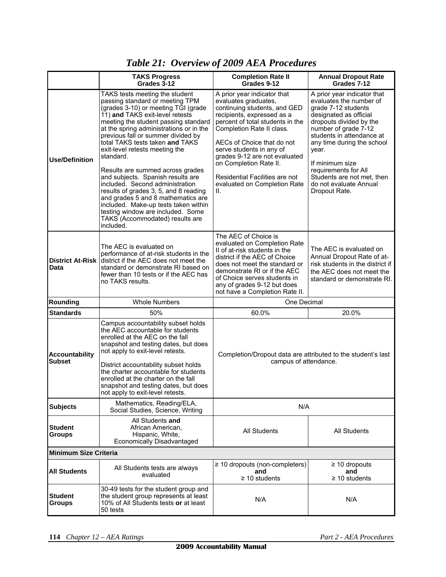|                                        | <b>TAKS Progress</b><br>Grades 3-12                                                                                                                                                                                                                                                                                                                                                                                                                                                                                                                                                                                                                                            | <b>Completion Rate II</b><br>Grades 9-12                                                                                                                                                                                                                                                                                                                                        | <b>Annual Dropout Rate</b><br>Grades 7-12                                                                                                                                                                                                                                                                                                          |  |  |  |
|----------------------------------------|--------------------------------------------------------------------------------------------------------------------------------------------------------------------------------------------------------------------------------------------------------------------------------------------------------------------------------------------------------------------------------------------------------------------------------------------------------------------------------------------------------------------------------------------------------------------------------------------------------------------------------------------------------------------------------|---------------------------------------------------------------------------------------------------------------------------------------------------------------------------------------------------------------------------------------------------------------------------------------------------------------------------------------------------------------------------------|----------------------------------------------------------------------------------------------------------------------------------------------------------------------------------------------------------------------------------------------------------------------------------------------------------------------------------------------------|--|--|--|
| <b>Use/Definition</b>                  | TAKS tests meeting the student<br>passing standard or meeting TPM<br>(grades 3-10) or meeting TGI (grade<br>11) and TAKS exit-level retests<br>meeting the student passing standard<br>at the spring administrations or in the<br>previous fall or summer divided by<br>total TAKS tests taken and TAKS<br>exit-level retests meeting the<br>standard.<br>Results are summed across grades<br>and subjects. Spanish results are<br>included. Second administration<br>results of grades 3, 5, and 8 reading<br>and grades 5 and 8 mathematics are<br>included. Make-up tests taken within<br>testing window are included. Some<br>TAKS (Accommodated) results are<br>included. | A prior year indicator that<br>evaluates graduates,<br>continuing students, and GED<br>recipients, expressed as a<br>percent of total students in the<br>Completion Rate II class.<br>AECs of Choice that do not<br>serve students in any of<br>grades 9-12 are not evaluated<br>on Completion Rate II.<br>Residential Facilities are not<br>evaluated on Completion Rate<br>Ш. | A prior year indicator that<br>evaluates the number of<br>grade 7-12 students<br>designated as official<br>dropouts divided by the<br>number of grade 7-12<br>students in attendance at<br>any time during the school<br>year.<br>If minimum size<br>requirements for All<br>Students are not met, then<br>do not evaluate Annual<br>Dropout Rate. |  |  |  |
| <b>District At-Risk</b><br>Data        | The AEC of Choice is<br>evaluated on Completion Rate<br>The AEC is evaluated on<br>II of at-risk students in the<br>performance of at-risk students in the<br>district if the AEC of Choice<br>district if the AEC does not meet the<br>does not meet the standard or<br>standard or demonstrate RI based on<br>demonstrate RI or if the AEC<br>fewer than 10 tests or if the AEC has<br>of Choice serves students in<br>no TAKS results.<br>any of grades 9-12 but does<br>not have a Completion Rate II.                                                                                                                                                                     |                                                                                                                                                                                                                                                                                                                                                                                 | The AEC is evaluated on<br>Annual Dropout Rate of at-<br>risk students in the district if<br>the AEC does not meet the<br>standard or demonstrate RI.                                                                                                                                                                                              |  |  |  |
| Rounding                               | <b>Whole Numbers</b>                                                                                                                                                                                                                                                                                                                                                                                                                                                                                                                                                                                                                                                           | One Decimal                                                                                                                                                                                                                                                                                                                                                                     |                                                                                                                                                                                                                                                                                                                                                    |  |  |  |
| <b>Standards</b>                       | 50%                                                                                                                                                                                                                                                                                                                                                                                                                                                                                                                                                                                                                                                                            | 60.0%                                                                                                                                                                                                                                                                                                                                                                           | 20.0%                                                                                                                                                                                                                                                                                                                                              |  |  |  |
| <b>Accountability</b><br><b>Subset</b> | Campus accountability subset holds<br>the AEC accountable for students<br>enrolled at the AEC on the fall<br>snapshot and testing dates, but does<br>not apply to exit-level retests.<br>District accountability subset holds<br>the charter accountable for students<br>enrolled at the charter on the fall<br>snapshot and testing dates, but does<br>not apply to exit-level retests.                                                                                                                                                                                                                                                                                       | Completion/Dropout data are attributed to the student's last<br>campus of attendance.                                                                                                                                                                                                                                                                                           |                                                                                                                                                                                                                                                                                                                                                    |  |  |  |
| <b>Subjects</b>                        | Mathematics, Reading/ELA,<br>Social Studies, Science, Writing                                                                                                                                                                                                                                                                                                                                                                                                                                                                                                                                                                                                                  | N/A                                                                                                                                                                                                                                                                                                                                                                             |                                                                                                                                                                                                                                                                                                                                                    |  |  |  |
| <b>Student</b><br><b>Groups</b>        | All Students and<br>African American.<br>Hispanic, White,<br><b>Economically Disadvantaged</b>                                                                                                                                                                                                                                                                                                                                                                                                                                                                                                                                                                                 | <b>All Students</b>                                                                                                                                                                                                                                                                                                                                                             | <b>All Students</b>                                                                                                                                                                                                                                                                                                                                |  |  |  |
| <b>Minimum Size Criteria</b>           |                                                                                                                                                                                                                                                                                                                                                                                                                                                                                                                                                                                                                                                                                |                                                                                                                                                                                                                                                                                                                                                                                 |                                                                                                                                                                                                                                                                                                                                                    |  |  |  |
| <b>All Students</b>                    | All Students tests are always<br>evaluated                                                                                                                                                                                                                                                                                                                                                                                                                                                                                                                                                                                                                                     | $\geq$ 10 dropouts (non-completers)<br>and<br>$\geq$ 10 students                                                                                                                                                                                                                                                                                                                | $\geq$ 10 dropouts<br>and<br>$\geq$ 10 students                                                                                                                                                                                                                                                                                                    |  |  |  |
| <b>Student</b><br>Groups               | 30-49 tests for the student group and<br>the student group represents at least<br>10% of All Students tests or at least<br>50 tests                                                                                                                                                                                                                                                                                                                                                                                                                                                                                                                                            | N/A                                                                                                                                                                                                                                                                                                                                                                             | N/A                                                                                                                                                                                                                                                                                                                                                |  |  |  |

### *Table 21: Overview of 2009 AEA Procedures*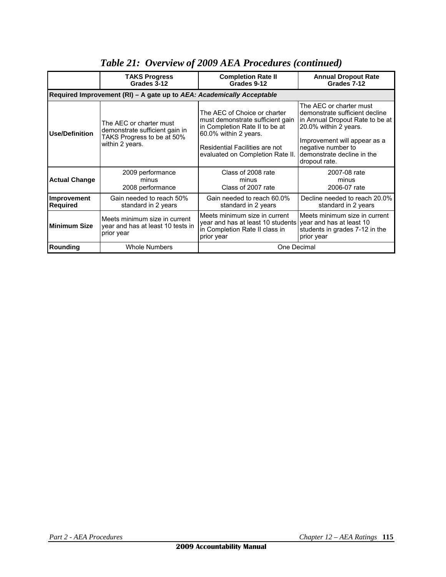|                                                                       | <b>TAKS Progress</b><br>Grades 3-12                                                                        | <b>Completion Rate II</b><br>Grades 9-12                                                                                                                                                          | <b>Annual Dropout Rate</b><br>Grades 7-12                                                                                                                                                                                  |  |  |  |  |  |
|-----------------------------------------------------------------------|------------------------------------------------------------------------------------------------------------|---------------------------------------------------------------------------------------------------------------------------------------------------------------------------------------------------|----------------------------------------------------------------------------------------------------------------------------------------------------------------------------------------------------------------------------|--|--|--|--|--|
| Required Improvement (RI) - A gate up to AEA: Academically Acceptable |                                                                                                            |                                                                                                                                                                                                   |                                                                                                                                                                                                                            |  |  |  |  |  |
| <b>Use/Definition</b>                                                 | The AEC or charter must<br>demonstrate sufficient gain in<br>TAKS Progress to be at 50%<br>within 2 years. | The AEC of Choice or charter<br>must demonstrate sufficient gain<br>in Completion Rate II to be at<br>60.0% within 2 years.<br>Residential Facilities are not<br>evaluated on Completion Rate II. | The AEC or charter must<br>demonstrate sufficient decline<br>in Annual Dropout Rate to be at<br>20.0% within 2 years.<br>Improvement will appear as a<br>negative number to<br>demonstrate decline in the<br>dropout rate. |  |  |  |  |  |
| <b>Actual Change</b>                                                  | 2009 performance<br>minus<br>2008 performance                                                              | Class of 2008 rate<br>minus<br>Class of 2007 rate                                                                                                                                                 | 2007-08 rate<br>minus<br>2006-07 rate                                                                                                                                                                                      |  |  |  |  |  |
| Improvement<br><b>Required</b>                                        | Gain needed to reach 50%<br>standard in 2 years                                                            | Gain needed to reach 60.0%<br>standard in 2 years                                                                                                                                                 | Decline needed to reach 20.0%<br>standard in 2 years                                                                                                                                                                       |  |  |  |  |  |
| <b>Minimum Size</b>                                                   | Meets minimum size in current<br>year and has at least 10 tests in<br>prior year                           | Meets minimum size in current<br>year and has at least 10 students<br>in Completion Rate II class in<br>prior year                                                                                | Meets minimum size in current<br>year and has at least 10<br>students in grades 7-12 in the<br>prior year                                                                                                                  |  |  |  |  |  |
| Rounding                                                              | <b>Whole Numbers</b>                                                                                       | One Decimal                                                                                                                                                                                       |                                                                                                                                                                                                                            |  |  |  |  |  |

### *Table 21: Overview of 2009 AEA Procedures (continued)*